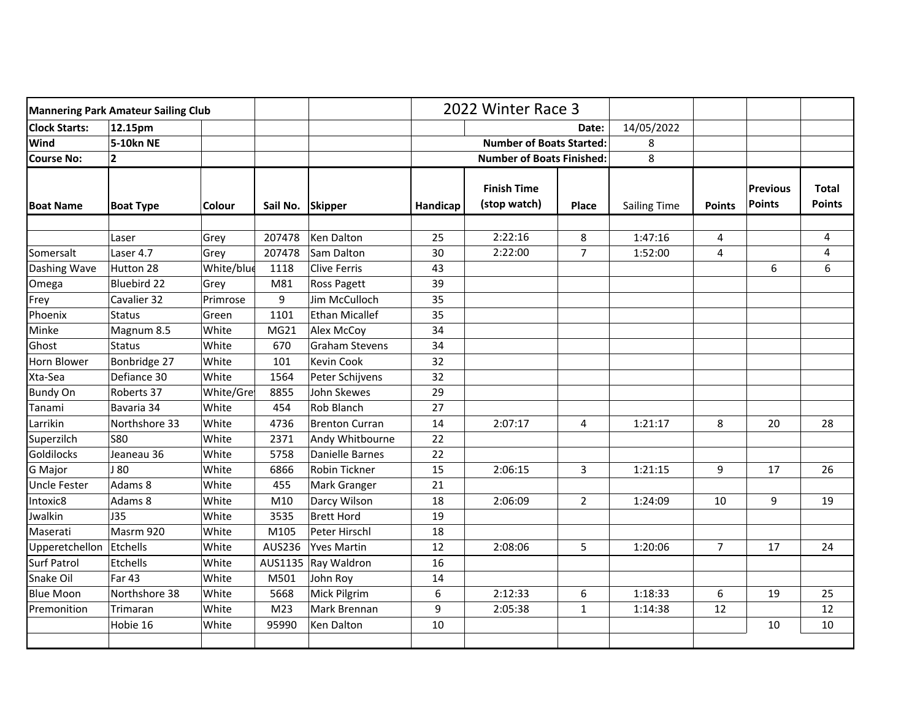| <b>Mannering Park Amateur Sailing Club</b> |                  |            |                  |                       | 2022 Winter Race 3              |                                    |                |                     |                |                                  |                               |
|--------------------------------------------|------------------|------------|------------------|-----------------------|---------------------------------|------------------------------------|----------------|---------------------|----------------|----------------------------------|-------------------------------|
| <b>Clock Starts:</b>                       | 12.15pm          |            |                  |                       |                                 | Date:                              |                | 14/05/2022          |                |                                  |                               |
| Wind                                       | 5-10kn NE        |            |                  |                       | <b>Number of Boats Started:</b> |                                    |                | 8                   |                |                                  |                               |
| <b>Course No:</b>                          | $\mathbf{2}$     |            |                  |                       |                                 | <b>Number of Boats Finished:</b>   |                | 8                   |                |                                  |                               |
| <b>Boat Name</b>                           | <b>Boat Type</b> | Colour     | Sail No. Skipper |                       | Handicap                        | <b>Finish Time</b><br>(stop watch) | Place          | <b>Sailing Time</b> | <b>Points</b>  | <b>Previous</b><br><b>Points</b> | <b>Total</b><br><b>Points</b> |
|                                            |                  |            |                  | <b>Ken Dalton</b>     | 25                              | 2:22:16                            |                | 1:47:16             |                |                                  |                               |
|                                            | Laser            | Grey       | 207478           |                       |                                 |                                    | $\bf 8$        |                     | 4              |                                  | 4                             |
| Somersalt                                  | Laser 4.7        | Grey       | 207478           | Sam Dalton            | 30                              | 2:22:00                            | $\overline{7}$ | 1:52:00             | 4              |                                  | 4                             |
| Dashing Wave                               | Hutton 28        | White/blue | 1118             | <b>Clive Ferris</b>   | 43                              |                                    |                |                     |                | 6                                | 6                             |
| Omega                                      | Bluebird 22      | Grey       | M81              | Ross Pagett           | 39                              |                                    |                |                     |                |                                  |                               |
| Frey                                       | Cavalier 32      | Primrose   | 9                | Jim McCulloch         | 35                              |                                    |                |                     |                |                                  |                               |
| Phoenix                                    | <b>Status</b>    | Green      | 1101             | <b>Ethan Micallef</b> | 35                              |                                    |                |                     |                |                                  |                               |
| Minke                                      | Magnum 8.5       | White      | MG21             | Alex McCoy            | 34                              |                                    |                |                     |                |                                  |                               |
| Ghost                                      | <b>Status</b>    | White      | 670              | <b>Graham Stevens</b> | 34                              |                                    |                |                     |                |                                  |                               |
| <b>Horn Blower</b>                         | Bonbridge 27     | White      | 101              | <b>Kevin Cook</b>     | 32                              |                                    |                |                     |                |                                  |                               |
| Xta-Sea                                    | Defiance 30      | White      | 1564             | Peter Schijvens       | 32                              |                                    |                |                     |                |                                  |                               |
| <b>Bundy On</b>                            | Roberts 37       | White/Gre  | 8855             | John Skewes           | 29                              |                                    |                |                     |                |                                  |                               |
| Tanami                                     | Bavaria 34       | White      | 454              | Rob Blanch            | 27                              |                                    |                |                     |                |                                  |                               |
| Larrikin                                   | Northshore 33    | White      | 4736             | <b>Brenton Curran</b> | 14                              | 2:07:17                            | 4              | 1:21:17             | 8              | 20                               | 28                            |
| Superzilch                                 | <b>S80</b>       | White      | 2371             | Andy Whitbourne       | 22                              |                                    |                |                     |                |                                  |                               |
| Goldilocks                                 | Jeaneau 36       | White      | 5758             | Danielle Barnes       | 22                              |                                    |                |                     |                |                                  |                               |
| G Major                                    | 180              | White      | 6866             | Robin Tickner         | 15                              | 2:06:15                            | 3              | 1:21:15             | 9              | 17                               | 26                            |
| <b>Uncle Fester</b>                        | Adams 8          | White      | 455              | Mark Granger          | 21                              |                                    |                |                     |                |                                  |                               |
| Intoxic8                                   | Adams 8          | White      | M10              | Darcy Wilson          | 18                              | 2:06:09                            | $\overline{2}$ | 1:24:09             | 10             | 9                                | 19                            |
| Jwalkin                                    | J35              | White      | 3535             | <b>Brett Hord</b>     | 19                              |                                    |                |                     |                |                                  |                               |
| Maserati                                   | Masrm 920        | White      | M105             | Peter Hirschl         | 18                              |                                    |                |                     |                |                                  |                               |
| Upperetchellon                             | Etchells         | White      | AUS236           | <b>Yves Martin</b>    | 12                              | 2:08:06                            | 5              | 1:20:06             | $\overline{7}$ | 17                               | 24                            |
| <b>Surf Patrol</b>                         | Etchells         | White      | AUS1135          | Ray Waldron           | 16                              |                                    |                |                     |                |                                  |                               |
| Snake Oil                                  | Far 43           | White      | M501             | John Roy              | 14                              |                                    |                |                     |                |                                  |                               |
| <b>Blue Moon</b>                           | Northshore 38    | White      | 5668             | Mick Pilgrim          | 6                               | 2:12:33                            | 6              | 1:18:33             | 6              | 19                               | 25                            |
| Premonition                                | Trimaran         | White      | M <sub>23</sub>  | Mark Brennan          | 9                               | 2:05:38                            | $\mathbf{1}$   | 1:14:38             | 12             |                                  | 12                            |
|                                            | Hobie 16         | White      | 95990            | Ken Dalton            | 10                              |                                    |                |                     |                | 10                               | 10                            |
|                                            |                  |            |                  |                       |                                 |                                    |                |                     |                |                                  |                               |